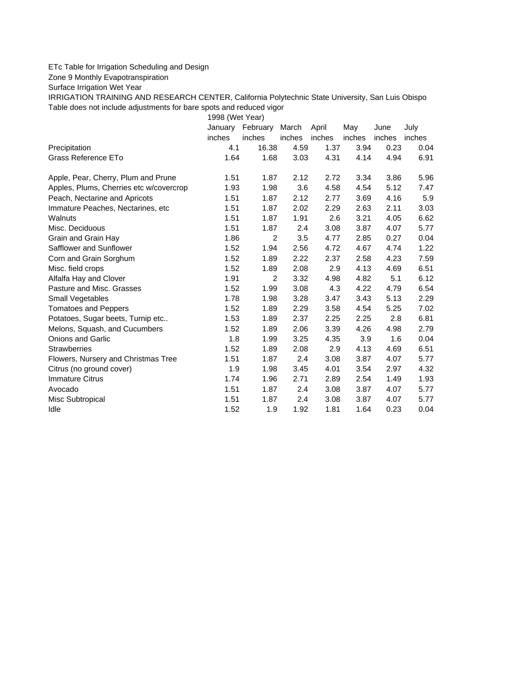## ETc Table for Irrigation Scheduling and Design

Zone 9 Monthly Evapotranspiration

Surface Irrigation Wet Year

IRRIGATION TRAINING AND RESEARCH CENTER, California Polytechnic State University, San Luis Obispo Table does not include adjustments for bare spots and reduced vigor

1998 (Wet Year)

|                                         | January | February       | March  | April  | May    | June   | July   |
|-----------------------------------------|---------|----------------|--------|--------|--------|--------|--------|
|                                         | inches  | inches         | inches | inches | inches | inches | inches |
| Precipitation                           | 4.1     | 16.38          | 4.59   | 1.37   | 3.94   | 0.23   | 0.04   |
| Grass Reference ETo                     | 1.64    | 1.68           | 3.03   | 4.31   | 4.14   | 4.94   | 6.91   |
| Apple, Pear, Cherry, Plum and Prune     | 1.51    | 1.87           | 2.12   | 2.72   | 3.34   | 3.86   | 5.96   |
| Apples, Plums, Cherries etc w/covercrop | 1.93    | 1.98           | 3.6    | 4.58   | 4.54   | 5.12   | 7.47   |
| Peach, Nectarine and Apricots           | 1.51    | 1.87           | 2.12   | 2.77   | 3.69   | 4.16   | 5.9    |
| Immature Peaches, Nectarines, etc.      | 1.51    | 1.87           | 2.02   | 2.29   | 2.63   | 2.11   | 3.03   |
| Walnuts                                 | 1.51    | 1.87           | 1.91   | 2.6    | 3.21   | 4.05   | 6.62   |
| Misc. Deciduous                         | 1.51    | 1.87           | 2.4    | 3.08   | 3.87   | 4.07   | 5.77   |
| Grain and Grain Hay                     | 1.86    | $\overline{2}$ | 3.5    | 4.77   | 2.85   | 0.27   | 0.04   |
| Safflower and Sunflower                 | 1.52    | 1.94           | 2.56   | 4.72   | 4.67   | 4.74   | 1.22   |
| Corn and Grain Sorghum                  | 1.52    | 1.89           | 2.22   | 2.37   | 2.58   | 4.23   | 7.59   |
| Misc. field crops                       | 1.52    | 1.89           | 2.08   | 2.9    | 4.13   | 4.69   | 6.51   |
| Alfalfa Hay and Clover                  | 1.91    | $\overline{2}$ | 3.32   | 4.98   | 4.82   | 5.1    | 6.12   |
| Pasture and Misc. Grasses               | 1.52    | 1.99           | 3.08   | 4.3    | 4.22   | 4.79   | 6.54   |
| Small Vegetables                        | 1.78    | 1.98           | 3.28   | 3.47   | 3.43   | 5.13   | 2.29   |
| <b>Tomatoes and Peppers</b>             | 1.52    | 1.89           | 2.29   | 3.58   | 4.54   | 5.25   | 7.02   |
| Potatoes, Sugar beets, Turnip etc       | 1.53    | 1.89           | 2.37   | 2.25   | 2.25   | 2.8    | 6.81   |
| Melons, Squash, and Cucumbers           | 1.52    | 1.89           | 2.06   | 3.39   | 4.26   | 4.98   | 2.79   |
| <b>Onions and Garlic</b>                | 1.8     | 1.99           | 3.25   | 4.35   | 3.9    | 1.6    | 0.04   |
| <b>Strawberries</b>                     | 1.52    | 1.89           | 2.08   | 2.9    | 4.13   | 4.69   | 6.51   |
| Flowers, Nursery and Christmas Tree     | 1.51    | 1.87           | 2.4    | 3.08   | 3.87   | 4.07   | 5.77   |
| Citrus (no ground cover)                | 1.9     | 1.98           | 3.45   | 4.01   | 3.54   | 2.97   | 4.32   |
| <b>Immature Citrus</b>                  | 1.74    | 1.96           | 2.71   | 2.89   | 2.54   | 1.49   | 1.93   |
| Avocado                                 | 1.51    | 1.87           | 2.4    | 3.08   | 3.87   | 4.07   | 5.77   |
| <b>Misc Subtropical</b>                 | 1.51    | 1.87           | 2.4    | 3.08   | 3.87   | 4.07   | 5.77   |
| Idle                                    | 1.52    | 1.9            | 1.92   | 1.81   | 1.64   | 0.23   | 0.04   |